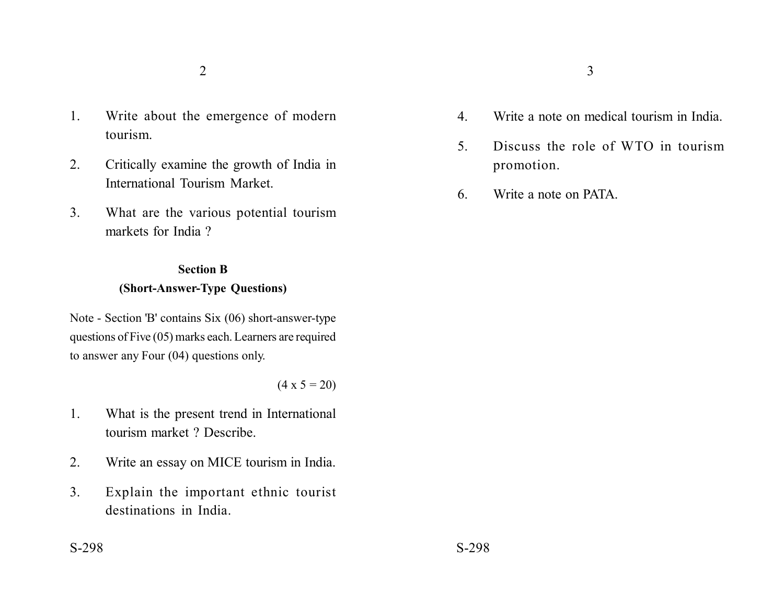- 1. Write about the emergence of modern tourism.
- 2. Critically examine the growth of India in International Tourism Market.
- 3. What are the various potential tourism markets for India ?

# **Section B (Short-Answer-Type Questions)**

Note - Section 'B' contains Six (06) short-answer-type questions of Five (05) marks each. Learners are required to answer any Four (04) questions only.

### $(4 \times 5 = 20)$

- 1. What is the present trend in International tourism market ? Describe.
- 2. Write an essay on MICE tourism in India.
- 3. Explain the important ethnic tourist destinations in India.
- 
- 4. Write a note on medical tourism in India.
- 5. Discuss the role of WTO in tourism promotion.
- 6. Write a note on PATA.